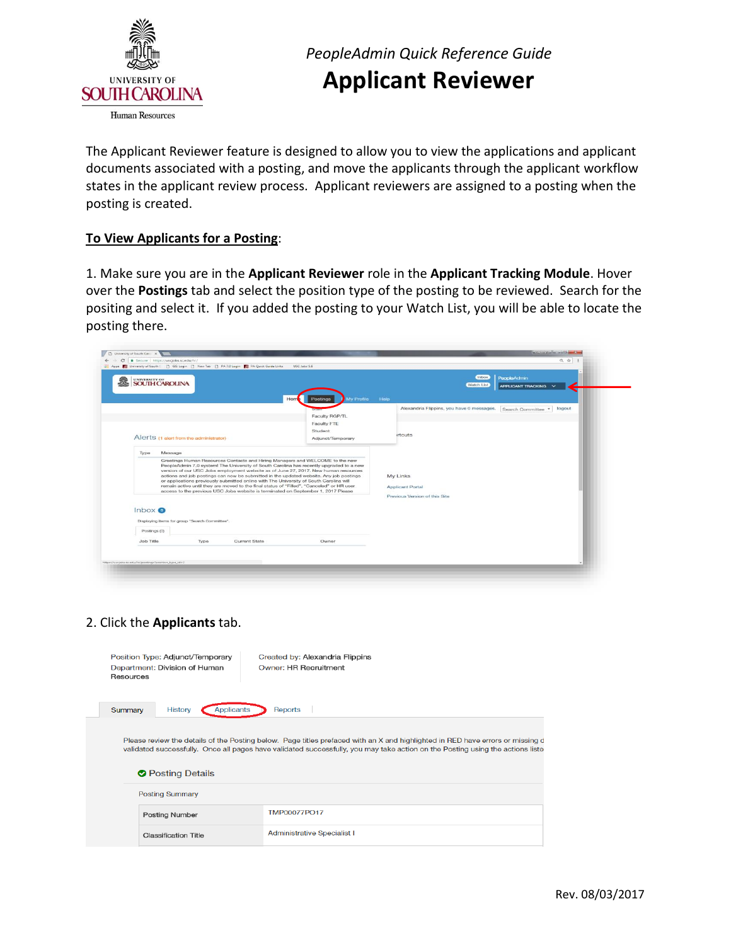

# *PeopleAdmin Quick Reference Guide*  **Applicant Reviewer**

 The Applicant Reviewer feature is designed to allow you to view the applications and applicant documents associated with a posting, and move the applicants through the applicant workflow states in the applicant review process. Applicant reviewers are assigned to a posting when the posting is created.

## **To View Applicants for a Posting**:

 1. Make sure you are in the **Applicant Reviewer** role in the **Applicant Tracking Module**. Hover over the **Postings** tab and select the position type of the posting to be reviewed. Search for the positing and select it. If you added the posting to your Watch List, you will be able to locate the posting there.

| UNIVERSITY OF<br>SOUTH CAROLINA                         |      |                                                                                                                                                                             |                                                                                                                                                                                                                                                                                                                                                                                                                                                        |                                                                      | Inbox<br>Watch List                       | PeopleAdmin<br>APPLICANT TRACKING |
|---------------------------------------------------------|------|-----------------------------------------------------------------------------------------------------------------------------------------------------------------------------|--------------------------------------------------------------------------------------------------------------------------------------------------------------------------------------------------------------------------------------------------------------------------------------------------------------------------------------------------------------------------------------------------------------------------------------------------------|----------------------------------------------------------------------|-------------------------------------------|-----------------------------------|
|                                                         |      |                                                                                                                                                                             | My Profile<br>Hon<br><b>Postings</b>                                                                                                                                                                                                                                                                                                                                                                                                                   | Help                                                                 |                                           |                                   |
|                                                         |      |                                                                                                                                                                             |                                                                                                                                                                                                                                                                                                                                                                                                                                                        |                                                                      | Alexandria Flippins, you have 0 messages. | logout<br>Search Committee        |
|                                                         |      |                                                                                                                                                                             | Faculty RGP/TL                                                                                                                                                                                                                                                                                                                                                                                                                                         |                                                                      |                                           |                                   |
|                                                         |      |                                                                                                                                                                             | Faculty FTE                                                                                                                                                                                                                                                                                                                                                                                                                                            |                                                                      |                                           |                                   |
| Alerts (1 alert from the administrator)                 |      |                                                                                                                                                                             | Student<br>Adjunct/Temporary                                                                                                                                                                                                                                                                                                                                                                                                                           | <i>irtcuts</i>                                                       |                                           |                                   |
|                                                         |      |                                                                                                                                                                             |                                                                                                                                                                                                                                                                                                                                                                                                                                                        |                                                                      |                                           |                                   |
| Message<br>Type                                         |      |                                                                                                                                                                             |                                                                                                                                                                                                                                                                                                                                                                                                                                                        |                                                                      |                                           |                                   |
|                                                         |      | or applications previously submitted online with The University of South Carolina will<br>access to the previous USC Jobs website is terminated on September 1, 2017 Please | Greetings Human Resources Contacts and Hiring Managers and WELCOME to the new<br>PeopleAdmin 7.0 system! The University of South Carolina has recently upgraded to a new<br>version of our USC Jobs employment website as of June 27, 2017. New human resources<br>actions and job postings can now be submitted in the updated website. Any job postings<br>remain active until they are moved to the final status of "Filled", "Canceled" or HR user | My Links<br><b>Applicant Portal</b><br>Previous Version of this Site |                                           |                                   |
| Inbox<br>Displaying items for group "Search Committee". |      |                                                                                                                                                                             |                                                                                                                                                                                                                                                                                                                                                                                                                                                        |                                                                      |                                           |                                   |
| Postings (0)                                            |      |                                                                                                                                                                             |                                                                                                                                                                                                                                                                                                                                                                                                                                                        |                                                                      |                                           |                                   |
| Job Title                                               | Type | Current State                                                                                                                                                               | Owner                                                                                                                                                                                                                                                                                                                                                                                                                                                  |                                                                      |                                           |                                   |
|                                                         |      |                                                                                                                                                                             |                                                                                                                                                                                                                                                                                                                                                                                                                                                        |                                                                      |                                           |                                   |

### 2. Click the **Applicants** tab.

| Position Type: Adjunct/Temporary<br>Department: Division of Human<br>Resources | Created by: Alexandria Flippins<br><b>Owner: HR Recruitment</b>                                                                                                                                                                                                  |
|--------------------------------------------------------------------------------|------------------------------------------------------------------------------------------------------------------------------------------------------------------------------------------------------------------------------------------------------------------|
| <b>Applicants</b><br><b>History</b><br>Summary                                 | Reports                                                                                                                                                                                                                                                          |
| <b>◆</b> Posting Details                                                       | Please review the details of the Posting below. Page titles prefaced with an X and highlighted in RED have errors or missing d<br>validated successfully. Once all pages have validated successfully, you may take action on the Posting using the actions liste |
| <b>Posting Summary</b>                                                         |                                                                                                                                                                                                                                                                  |
| <b>Posting Number</b>                                                          | <b>TMP00077PO17</b>                                                                                                                                                                                                                                              |
| <b>Classification Title</b>                                                    | <b>Administrative Specialist I</b>                                                                                                                                                                                                                               |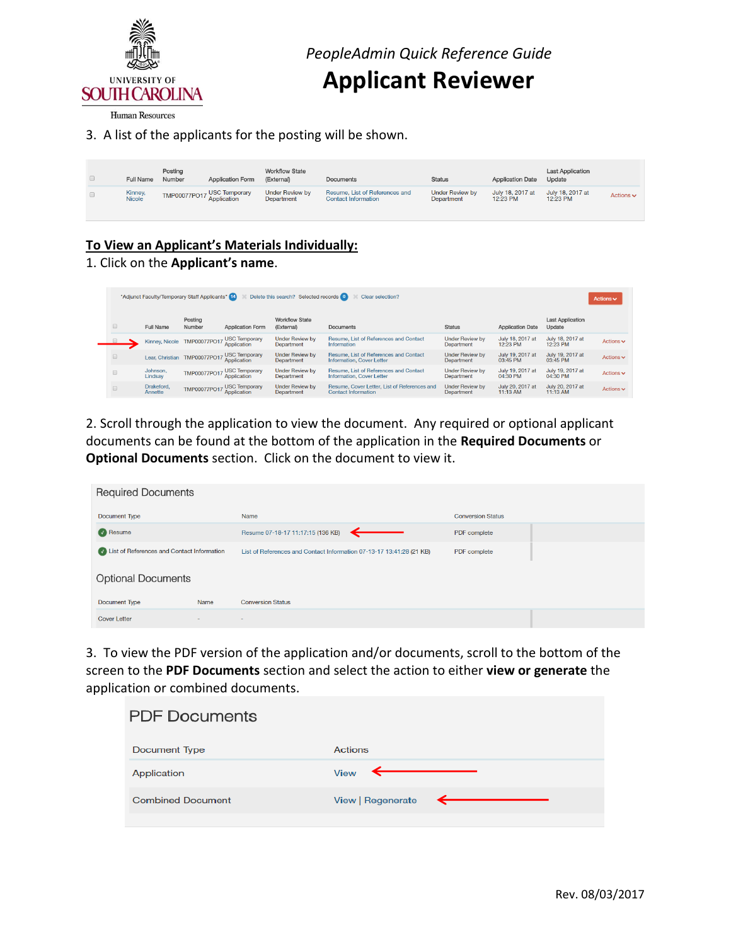

# **Applicant Reviewer**

Human Resources

### 3. A list of the applicants for the posting will be shown.

| <b>Full Name</b>         | Posting<br>Number | <b>Application Form</b>    | <b>Workflow State</b><br>(External)  | Documents                                                    | <b>Status</b>                        | <b>Application Date</b>      | <b>Last Application</b><br>Update |                |
|--------------------------|-------------------|----------------------------|--------------------------------------|--------------------------------------------------------------|--------------------------------------|------------------------------|-----------------------------------|----------------|
| Kinney,<br><b>Nicole</b> |                   | TMP00077PO17 USC Temporary | <b>Under Review by</b><br>Department | Resume, List of References and<br><b>Contact Information</b> | <b>Under Review by</b><br>Department | July 18, 2017 at<br>12:23 PM | July 18, 2017 at<br>12:23 PM      | Actions $\sim$ |

# **To View an Applicant's Materials Individually:**

#### 1. Click on the **Applicant's name**.

| Delete this search? Selected records 0<br>"Adjunct Faculty/Temporary Staff Applicants" 14<br>Clear selection? |                       |                              |                                                          |                                             |                                                                            |                                             |                              | Actions $\vee$                    |                |
|---------------------------------------------------------------------------------------------------------------|-----------------------|------------------------------|----------------------------------------------------------|---------------------------------------------|----------------------------------------------------------------------------|---------------------------------------------|------------------------------|-----------------------------------|----------------|
| $\qquad \qquad \Box$                                                                                          | Full Name             | Posting<br>Number            | <b>Application Form</b>                                  | <b>Workflow State</b><br>(External)         | Documents                                                                  | <b>Status</b>                               | <b>Application Date</b>      | <b>Last Application</b><br>Update |                |
|                                                                                                               |                       |                              | Kinney, Nicole TMP00077PO17 USC Temporary<br>Application | <b>Under Review by</b><br><b>Department</b> | Resume, List of References and Contact<br>Information                      | <b>Under Review by</b><br><b>Department</b> | July 18, 2017 at<br>12:23 PM | July 18, 2017 at<br>12:23 PM      | Actions $\sim$ |
| $\Box$                                                                                                        |                       | Lear, Christian TMP00077PO17 | , USC Temporary<br>Application                           | <b>Under Review by</b><br>Department        | Resume, List of References and Contact<br>Information, Cover Letter        | <b>Under Review by</b><br><b>Department</b> | July 19, 2017 at<br>03:45 PM | July 19, 2017 at<br>03:45 PM      | Actions $\sim$ |
| $\qquad \qquad \Box$                                                                                          | Johnson,<br>Lindsay   |                              | TMP00077PO17 USC Temporary                               | <b>Under Review by</b><br><b>Department</b> | Resume, List of References and Contact<br>Information, Cover Letter        | <b>Under Review by</b><br>Department        | July 19, 2017 at<br>04:30 PM | July 19, 2017 at<br>04:30 PM      | Actions $\sim$ |
| $\square$                                                                                                     | Drakeford,<br>Annette |                              | TMP00077PO17 USC Temporary<br>Application                | <b>Under Review by</b><br>Department        | Resume, Cover Letter, List of References and<br><b>Contact Information</b> | <b>Under Review by</b><br><b>Department</b> | July 20, 2017 at<br>11:13 AM | July 20, 2017 at<br>11:13 AM      | Actions $\sim$ |

 2. Scroll through the application to view the document. Any required or optional applicant documents can be found at the bottom of the application in the **Required Documents** or **Optional Documents** section. Click on the document to view it.

| <b>Required Documents</b>                 |                          |                                                                      |                          |  |
|-------------------------------------------|--------------------------|----------------------------------------------------------------------|--------------------------|--|
| <b>Document Type</b>                      |                          | Name                                                                 | <b>Conversion Status</b> |  |
| Resume                                    |                          | Resume 07-18-17 11:17:15 (136 KB)                                    | PDF complete             |  |
| Ust of References and Contact Information |                          | List of References and Contact Information 07-13-17 13:41:28 (21 KB) | PDF complete             |  |
| <b>Optional Documents</b>                 |                          |                                                                      |                          |  |
| Document Type                             | Name                     | <b>Conversion Status</b>                                             |                          |  |
| <b>Cover Letter</b>                       | $\overline{\phantom{a}}$ | $\sim$                                                               |                          |  |

 3. To view the PDF version of the application and/or documents, scroll to the bottom of the screen to the **PDF Documents** section and select the action to either **view or generate** the application or combined documents.

| <b>PDF Documents</b>     |                                |
|--------------------------|--------------------------------|
| Document Type            | Actions                        |
| Application              | View $\leftarrow$              |
| <b>Combined Document</b> | View   Regenerate $\leftarrow$ |
|                          |                                |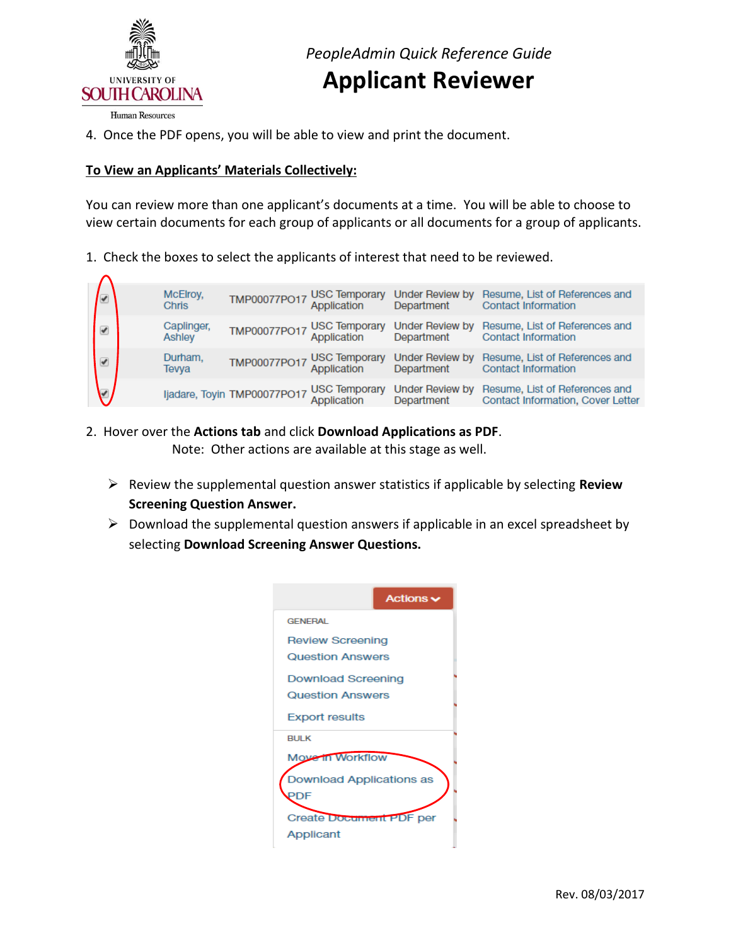

4. Once the PDF opens, you will be able to view and print the document.

### **To View an Applicants' Materials Collectively:**

 You can review more than one applicant's documents at a time. You will be able to choose to view certain documents for each group of applicants or all documents for a group of applicants.

1. Check the boxes to select the applicants of interest that need to be reviewed.

| $\overline{\mathcal{L}}$ | McElroy,<br>Chris    | TMP00077PO17 USC Temporary<br>Application |                                     | Under Review by<br>Department        | Resume, List of References and<br><b>Contact Information</b>               |
|--------------------------|----------------------|-------------------------------------------|-------------------------------------|--------------------------------------|----------------------------------------------------------------------------|
| ✔                        | Caplinger,<br>Ashley | TMP00077PO17 USC Temporary<br>Application |                                     | Under Review by<br>Department        | Resume, List of References and<br><b>Contact Information</b>               |
| ✔                        | Durham.<br>Tevya     | TMP00077PO17 USC Temporary                |                                     | <b>Under Review by</b><br>Department | Resume, List of References and<br><b>Contact Information</b>               |
|                          |                      | ljadare, Toyin TMP00077PO17               | <b>USC Temporary</b><br>Application | <b>Under Review by</b><br>Department | Resume, List of References and<br><b>Contact Information, Cover Letter</b> |

- 2. Hover over the **Actions tab** and click **Download Applications as PDF**. Note: Other actions are available at this stage as well.
	- Review the supplemental question answer statistics if applicable by selecting **Review Screening Question Answer.**
	- $\triangleright$  Download the supplemental question answers if applicable in an excel spreadsheet by  selecting **Download Screening Answer Questions.**

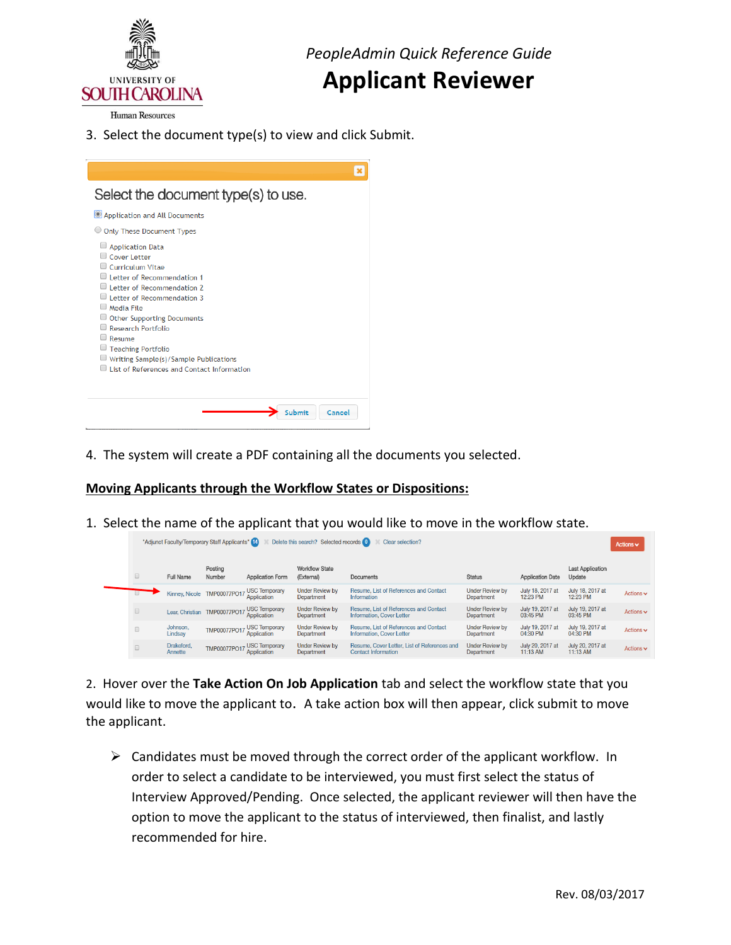

*PeopleAdmin Quick Reference Guide* 

# **Applicant Reviewer**

**Human Resources** 

 3. Select the document type(s) to view and click Submit.

| Select the document type(s) to use.                                                                                                                                                                                                                                                                                                                                                       |  |
|-------------------------------------------------------------------------------------------------------------------------------------------------------------------------------------------------------------------------------------------------------------------------------------------------------------------------------------------------------------------------------------------|--|
| Application and All Documents                                                                                                                                                                                                                                                                                                                                                             |  |
| <b>Only These Document Types</b>                                                                                                                                                                                                                                                                                                                                                          |  |
| <b>Application Data</b><br>$\Box$ Cover Letter<br>Curriculum Vitae<br>Letter of Recommendation 1<br>I etter of Recommendation 2<br>$\Box$ Letter of Recommendation 3<br>$\Box$ Media File<br><b>Other Supporting Documents</b><br><b>Research Portfolio</b><br>Resume<br><b>Teaching Portfolio</b><br>Writing Sample(s)/Sample Publications<br>List of References and Contact Information |  |
| Cancel<br>Submit                                                                                                                                                                                                                                                                                                                                                                          |  |

4. The system will create a PDF containing all the documents you selected.

## **Moving Applicants through the Workflow States or Dispositions:**

1. Select the name of the applicant that you would like to move in the workflow state.

| "Adjunct Faculty/Temporary Staff Applicants" [14]<br>Delete this search? Selected records 0<br>Clear selection? |                       |                   |                                            |                                             |                                                                            |                                             | Actions $\vee$               |                                   |                               |
|-----------------------------------------------------------------------------------------------------------------|-----------------------|-------------------|--------------------------------------------|---------------------------------------------|----------------------------------------------------------------------------|---------------------------------------------|------------------------------|-----------------------------------|-------------------------------|
| $\Box$                                                                                                          | Full Name             | Posting<br>Number | <b>Application Form</b>                    | <b>Workflow State</b><br>(External)         | <b>Documents</b>                                                           | <b>Status</b>                               | <b>Application Date</b>      | <b>Last Application</b><br>Update |                               |
|                                                                                                                 |                       |                   | Kinney, Nicole TMP00077PO17 USC Temporary  | <b>Under Review by</b><br>Department        | Resume, List of References and Contact<br>Information                      | <b>Under Review by</b><br>Department        | July 18, 2017 at<br>12:23 PM | July 18, 2017 at<br>12:23 PM      | Actions $\sim$                |
| $\qquad \qquad \Box$                                                                                            |                       |                   | Lear, Christian TMP00077PO17 USC Temporary | <b>Under Review by</b><br><b>Department</b> | Resume, List of References and Contact<br><b>Information, Cover Letter</b> | <b>Under Review by</b><br><b>Department</b> | July 19, 2017 at<br>03:45 PM | July 19, 2017 at<br>03:45 PM      | Actions $\vee$                |
| $\Box$                                                                                                          | Johnson,<br>Lindsay   |                   | TMP00077PO17 USC Temporary                 | <b>Under Review by</b><br>Department        | Resume, List of References and Contact<br>Information, Cover Letter        | <b>Under Review by</b><br><b>Department</b> | July 19, 2017 at<br>04:30 PM | July 19, 2017 at<br>04:30 PM      | Actions $\blacktriangleright$ |
| $\qquad \qquad \Box$                                                                                            | Drakeford.<br>Annette | TMP00077PO17      | USC Temporary<br>Application               | <b>Under Review by</b><br><b>Department</b> | Resume, Cover Letter, List of References and<br><b>Contact Information</b> | <b>Under Review by</b><br>Department        | July 20, 2017 at<br>11:13 AM | July 20, 2017 at<br>11:13 AM      | Actions $\vee$                |

 would like to move the applicant to. A take action box will then appear, click submit to move 2. Hover over the **Take Action On Job Application** tab and select the workflow state that you the applicant.

 $\triangleright$  Candidates must be moved through the correct order of the applicant workflow. In order to select a candidate to be interviewed, you must first select the status of Interview Approved/Pending. Once selected, the applicant reviewer will then have the option to move the applicant to the status of interviewed, then finalist, and lastly recommended for hire.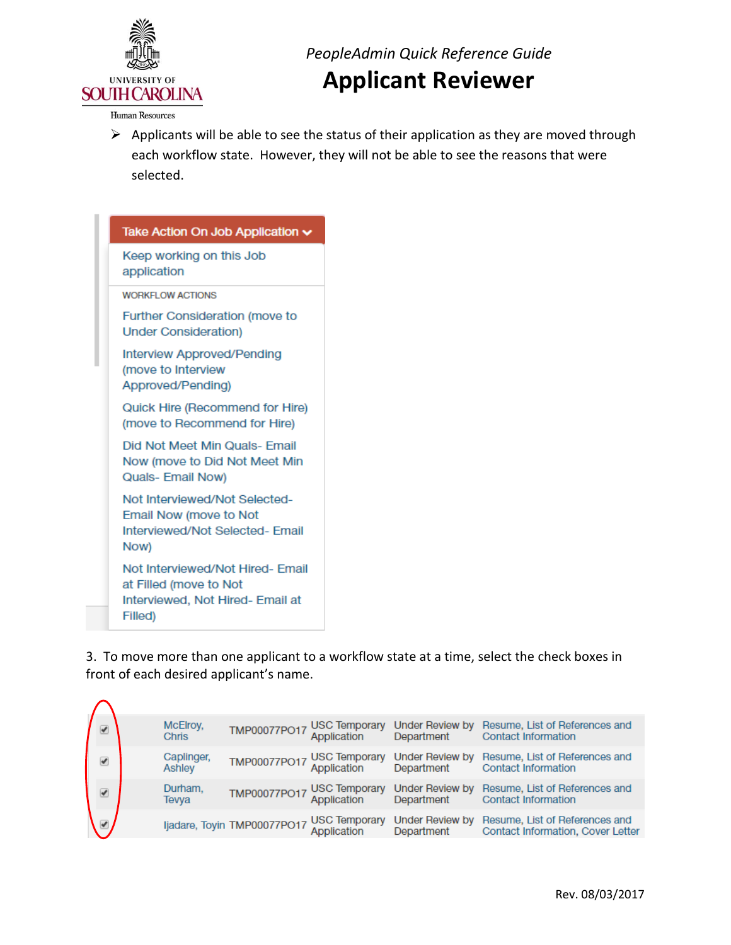

*PeopleAdmin Quick Reference Guide* 

# **Applicant Reviewer**

Human Resources

 $\triangleright$  Applicants will be able to see the status of their application as they are moved through each workflow state. However, they will not be able to see the reasons that were selected.

| Take Action On Job Application $\sim$                                                                     |
|-----------------------------------------------------------------------------------------------------------|
| Keep working on this Job<br>application                                                                   |
| <b>WORKFLOW ACTIONS</b>                                                                                   |
| <b>Further Consideration (move to</b><br><b>Under Consideration)</b>                                      |
| Interview Approved/Pending<br>(move to Interview<br>Approved/Pending)                                     |
| Quick Hire (Recommend for Hire)<br>(move to Recommend for Hire)                                           |
| Did Not Meet Min Quals- Email<br>Now (move to Did Not Meet Min<br>Quals- Email Now)                       |
| Not Interviewed/Not Selected-<br>Email Now (move to Not<br>Interviewed/Not Selected- Email<br>Now)        |
| Not Interviewed/Not Hired- Email<br>at Filled (move to Not<br>Interviewed, Not Hired- Email at<br>Filled) |

 3. To move more than one applicant to a workflow state at a time, select the check boxes in front of each desired applicant's name.

| $\overline{\mathscr{L}}$ | McElroy,<br><b>Chris</b> | TMP00077PO17 USC Temporary<br>Application |                                                          | Under Review by<br>Department        | Resume, List of References and<br><b>Contact Information</b>        |
|--------------------------|--------------------------|-------------------------------------------|----------------------------------------------------------|--------------------------------------|---------------------------------------------------------------------|
| ✔                        | Caplinger,<br>Ashley     | TMP00077PO17 USC Temporary<br>Application |                                                          | <b>Under Review by</b><br>Department | Resume, List of References and<br><b>Contact Information</b>        |
| ✔                        | Durham.<br>Tevya         | TMP00077PO17 USC Temporary                |                                                          | Under Review by<br>Department        | Resume, List of References and<br><b>Contact Information</b>        |
|                          |                          |                                           | ljadare, Toyin TMP00077PO17 USC Temporary<br>Application | Under Review by<br>Department        | Resume, List of References and<br>Contact Information, Cover Letter |